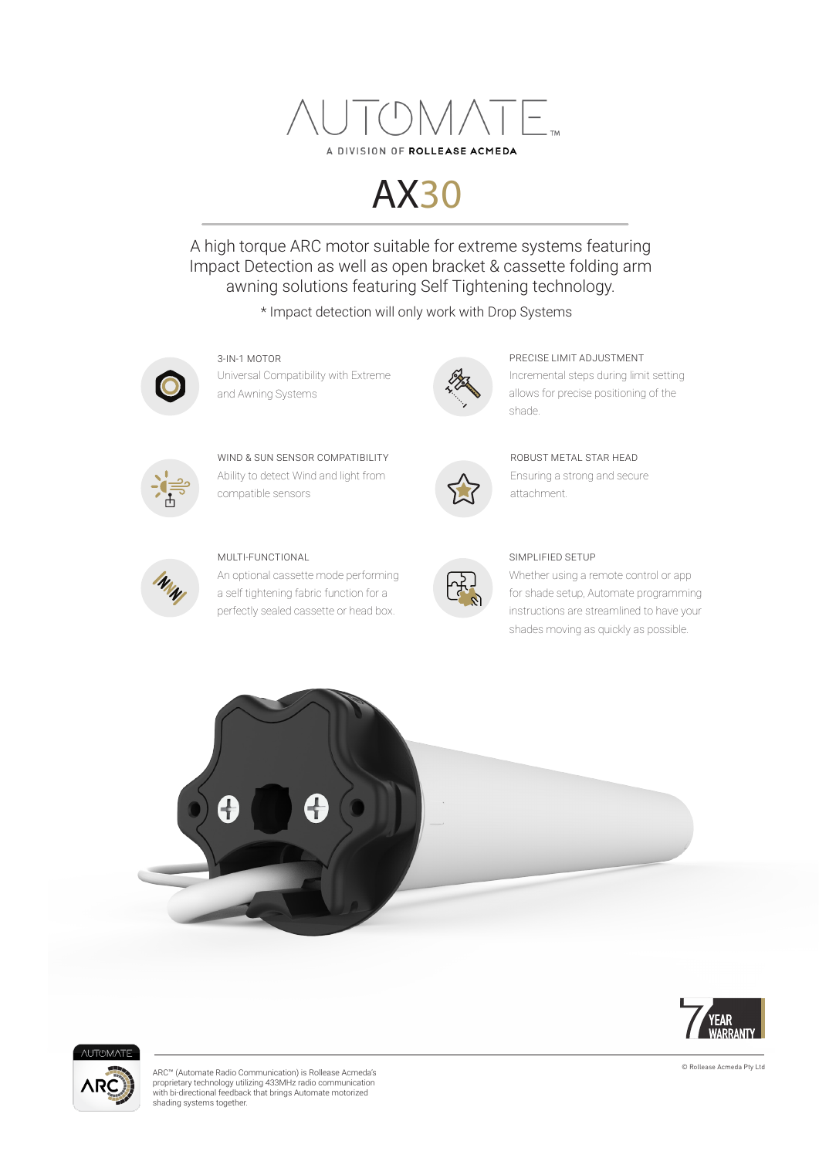

# AX30

A high torque ARC motor suitable for extreme systems featuring Impact Detection as well as open bracket & cassette folding arm awning solutions featuring Self Tightening technology.

\* Impact detection will only work with Drop Systems



Universal Compatibility with Extreme and Awning Systems 3-IN-1 MOTOR PRECISE LIMIT ADJUSTMENT



Ability to detect Wind and light from compatible sensors WIND & SUN SENSOR COMPATIBILITY



#### MULTI-FUNCTIONAL

An optional cassette mode performing a self tightening fabric function for a perfectly sealed cassette or head box.



Ensuring a strong and secure attachment. ROBUST METAL STAR HEAD

Incremental steps during limit setting allows for precise positioning of the



#### SIMPLIFIED SETUP

shade.

Whether using a remote control or app for shade setup, Automate programming instructions are streamlined to have your shades moving as quickly as possible.







© Rollease Acmeda Pty Ltd ARC™ (Automate Radio Communication) is Rollease Acmeda's proprietary technology utilizing 433MHz radio communication with bi-directional feedback that brings Automate motorized shading systems together.